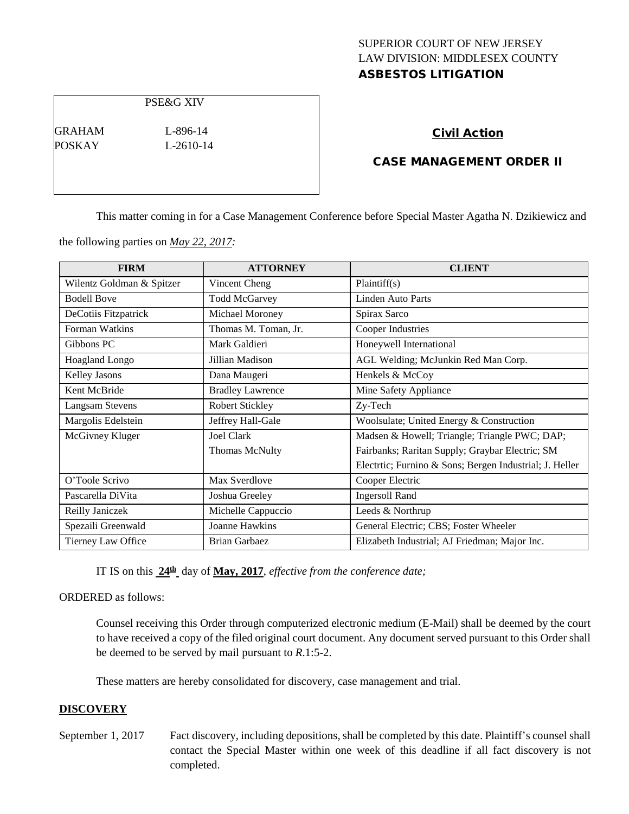# SUPERIOR COURT OF NEW JERSEY LAW DIVISION: MIDDLESEX COUNTY ASBESTOS LITIGATION

PSE&G XIV

GRAHAM L-896-14 POSKAY L-2610-14

### Civil Action

## CASE MANAGEMENT ORDER II

This matter coming in for a Case Management Conference before Special Master Agatha N. Dzikiewicz and

the following parties on *May 22, 2017:*

| <b>FIRM</b>               | <b>ATTORNEY</b>         | <b>CLIENT</b>                                          |
|---------------------------|-------------------------|--------------------------------------------------------|
| Wilentz Goldman & Spitzer | Vincent Cheng           | Plaintiff(s)                                           |
| <b>Bodell Bove</b>        | <b>Todd McGarvey</b>    | Linden Auto Parts                                      |
| DeCotiis Fitzpatrick      | Michael Moroney         | Spirax Sarco                                           |
| Forman Watkins            | Thomas M. Toman, Jr.    | Cooper Industries                                      |
| Gibbons PC                | Mark Galdieri           | Honeywell International                                |
| Hoagland Longo            | Jillian Madison         | AGL Welding; McJunkin Red Man Corp.                    |
| Kelley Jasons             | Dana Maugeri            | Henkels & McCoy                                        |
| Kent McBride              | <b>Bradley Lawrence</b> | Mine Safety Appliance                                  |
| <b>Langsam Stevens</b>    | <b>Robert Stickley</b>  | Zy-Tech                                                |
| Margolis Edelstein        | Jeffrey Hall-Gale       | Woolsulate; United Energy & Construction               |
| McGivney Kluger           | <b>Joel Clark</b>       | Madsen & Howell; Triangle; Triangle PWC; DAP;          |
|                           | <b>Thomas McNulty</b>   | Fairbanks; Raritan Supply; Graybar Electric; SM        |
|                           |                         | Electric; Furnino & Sons; Bergen Industrial; J. Heller |
| O'Toole Scrivo            | Max Sverdlove           | Cooper Electric                                        |
| Pascarella DiVita         | Joshua Greeley          | <b>Ingersoll Rand</b>                                  |
| Reilly Janiczek           | Michelle Cappuccio      | Leeds & Northrup                                       |
| Spezaili Greenwald        | Joanne Hawkins          | General Electric; CBS; Foster Wheeler                  |
| Tierney Law Office        | <b>Brian Garbaez</b>    | Elizabeth Industrial; AJ Friedman; Major Inc.          |

IT IS on this **24th** day of **May, 2017**, *effective from the conference date;*

ORDERED as follows:

Counsel receiving this Order through computerized electronic medium (E-Mail) shall be deemed by the court to have received a copy of the filed original court document. Any document served pursuant to this Order shall be deemed to be served by mail pursuant to *R*.1:5-2.

These matters are hereby consolidated for discovery, case management and trial.

#### **DISCOVERY**

September 1, 2017 Fact discovery, including depositions, shall be completed by this date. Plaintiff's counsel shall contact the Special Master within one week of this deadline if all fact discovery is not completed.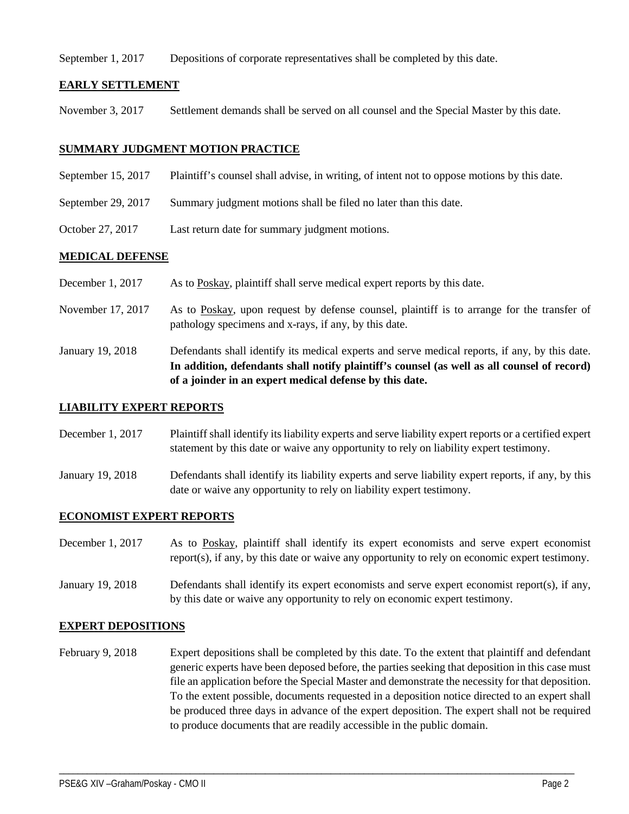September 1, 2017 Depositions of corporate representatives shall be completed by this date.

#### **EARLY SETTLEMENT**

November 3, 2017 Settlement demands shall be served on all counsel and the Special Master by this date.

#### **SUMMARY JUDGMENT MOTION PRACTICE**

- September 15, 2017 Plaintiff's counsel shall advise, in writing, of intent not to oppose motions by this date.
- September 29, 2017 Summary judgment motions shall be filed no later than this date.
- October 27, 2017 Last return date for summary judgment motions.

#### **MEDICAL DEFENSE**

- December 1, 2017 As to Poskay, plaintiff shall serve medical expert reports by this date.
- November 17, 2017 As to Poskay, upon request by defense counsel, plaintiff is to arrange for the transfer of pathology specimens and x-rays, if any, by this date.
- January 19, 2018 Defendants shall identify its medical experts and serve medical reports, if any, by this date. **In addition, defendants shall notify plaintiff's counsel (as well as all counsel of record) of a joinder in an expert medical defense by this date.**

#### **LIABILITY EXPERT REPORTS**

- December 1, 2017 Plaintiff shall identify its liability experts and serve liability expert reports or a certified expert statement by this date or waive any opportunity to rely on liability expert testimony.
- January 19, 2018 Defendants shall identify its liability experts and serve liability expert reports, if any, by this date or waive any opportunity to rely on liability expert testimony.

#### **ECONOMIST EXPERT REPORTS**

- December 1, 2017 As to Poskay, plaintiff shall identify its expert economists and serve expert economist report(s), if any, by this date or waive any opportunity to rely on economic expert testimony.
- January 19, 2018 Defendants shall identify its expert economists and serve expert economist report(s), if any, by this date or waive any opportunity to rely on economic expert testimony.

#### **EXPERT DEPOSITIONS**

February 9, 2018 Expert depositions shall be completed by this date. To the extent that plaintiff and defendant generic experts have been deposed before, the parties seeking that deposition in this case must file an application before the Special Master and demonstrate the necessity for that deposition. To the extent possible, documents requested in a deposition notice directed to an expert shall be produced three days in advance of the expert deposition. The expert shall not be required to produce documents that are readily accessible in the public domain.

\_\_\_\_\_\_\_\_\_\_\_\_\_\_\_\_\_\_\_\_\_\_\_\_\_\_\_\_\_\_\_\_\_\_\_\_\_\_\_\_\_\_\_\_\_\_\_\_\_\_\_\_\_\_\_\_\_\_\_\_\_\_\_\_\_\_\_\_\_\_\_\_\_\_\_\_\_\_\_\_\_\_\_\_\_\_\_\_\_\_\_\_\_\_\_\_\_\_\_\_\_\_\_\_\_\_\_\_\_\_